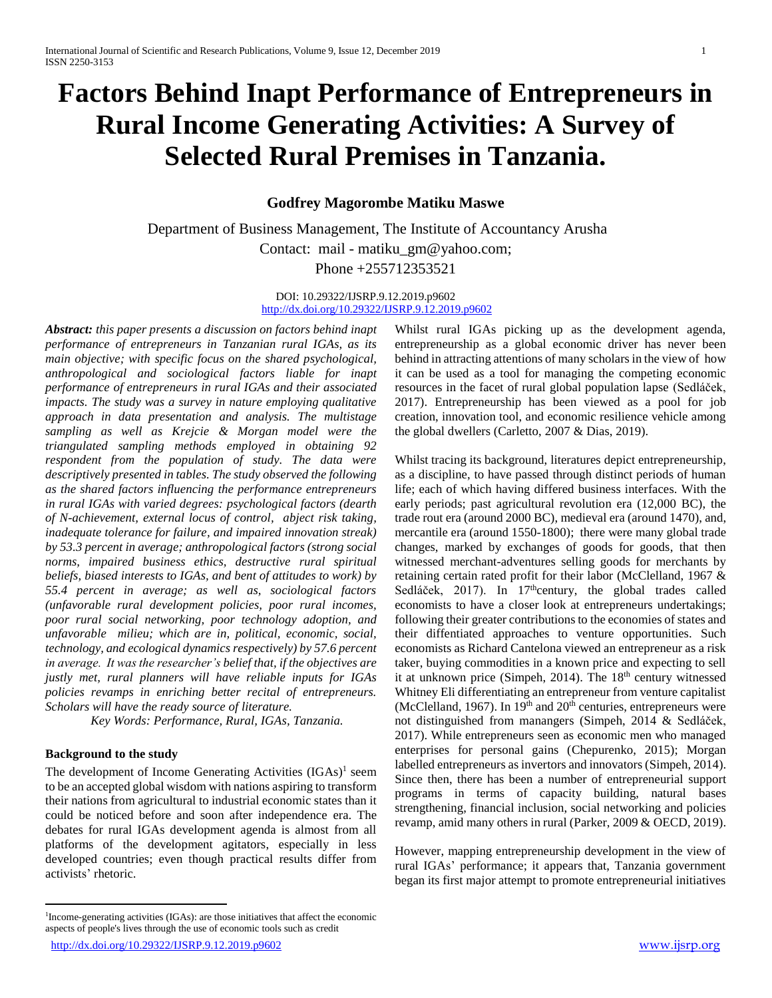# **Factors Behind Inapt Performance of Entrepreneurs in Rural Income Generating Activities: A Survey of Selected Rural Premises in Tanzania.**

# **Godfrey Magorombe Matiku Maswe**

 Department of Business Management, The Institute of Accountancy Arusha Contact: mail - matiku\_gm@yahoo.com; Phone +255712353521

> DOI: 10.29322/IJSRP.9.12.2019.p9602 <http://dx.doi.org/10.29322/IJSRP.9.12.2019.p9602>

*Abstract: this paper presents a discussion on factors behind inapt performance of entrepreneurs in Tanzanian rural IGAs, as its main objective; with specific focus on the shared psychological, anthropological and sociological factors liable for inapt performance of entrepreneurs in rural IGAs and their associated impacts. The study was a survey in nature employing qualitative approach in data presentation and analysis. The multistage sampling as well as Krejcie & Morgan model were the triangulated sampling methods employed in obtaining 92 respondent from the population of study. The data were descriptively presented in tables. The study observed the following as the shared factors influencing the performance entrepreneurs in rural IGAs with varied degrees: psychological factors (dearth of N-achievement, external locus of control, abject risk taking, inadequate tolerance for failure, and impaired innovation streak) by 53.3 percent in average; anthropological factors (strong social norms, impaired business ethics, destructive rural spiritual beliefs, biased interests to IGAs, and bent of attitudes to work) by 55.4 percent in average; as well as, sociological factors (unfavorable rural development policies, poor rural incomes, poor rural social networking, poor technology adoption, and unfavorable milieu; which are in, political, economic, social, technology, and ecological dynamics respectively) by 57.6 percent in average. It was the researcher's belief that, if the objectives are justly met, rural planners will have reliable inputs for IGAs policies revamps in enriching better recital of entrepreneurs. Scholars will have the ready source of literature.*

*Key Words: Performance, Rural, IGAs, Tanzania.*

#### **Background to the study**

 $\overline{a}$ 

The development of Income Generating Activities (IGAs)<sup>1</sup> seem to be an accepted global wisdom with nations aspiring to transform their nations from agricultural to industrial economic states than it could be noticed before and soon after independence era. The debates for rural IGAs development agenda is almost from all platforms of the development agitators, especially in less developed countries; even though practical results differ from activists' rhetoric.

Whilst rural IGAs picking up as the development agenda, entrepreneurship as a global economic driver has never been behind in attracting attentions of many scholars in the view of how it can be used as a tool for managing the competing economic resources in the facet of rural global population lapse (Sedláček, 2017). Entrepreneurship has been viewed as a pool for job creation, innovation tool, and economic resilience vehicle among the global dwellers (Carletto, 2007 & Dias, 2019).

Whilst tracing its background, literatures depict entrepreneurship, as a discipline, to have passed through distinct periods of human life; each of which having differed business interfaces. With the early periods; past agricultural revolution era (12,000 BC), the trade rout era (around 2000 BC), medieval era (around 1470), and, mercantile era (around 1550-1800); there were many global trade changes, marked by exchanges of goods for goods, that then witnessed merchant-adventures selling goods for merchants by retaining certain rated profit for their labor (McClelland, 1967 & Sedláček, 2017). In 17<sup>th</sup>century, the global trades called economists to have a closer look at entrepreneurs undertakings; following their greater contributions to the economies of states and their diffentiated approaches to venture opportunities. Such economists as Richard Cantelona viewed an entrepreneur as a risk taker, buying commodities in a known price and expecting to sell it at unknown price (Simpeh, 2014). The 18<sup>th</sup> century witnessed Whitney Eli differentiating an entrepreneur from venture capitalist (McClelland, 1967). In  $19<sup>th</sup>$  and  $20<sup>th</sup>$  centuries, entrepreneurs were not distinguished from manangers (Simpeh, 2014 & Sedláček, 2017). While entrepreneurs seen as economic men who managed enterprises for personal gains (Chepurenko, 2015); Morgan labelled entrepreneurs as invertors and innovators (Simpeh, 2014). Since then, there has been a number of entrepreneurial support programs in terms of capacity building, natural bases strengthening, financial inclusion, social networking and policies revamp, amid many others in rural (Parker, 2009 & OECD, 2019).

However, mapping entrepreneurship development in the view of rural IGAs' performance; it appears that, Tanzania government began its first major attempt to promote entrepreneurial initiatives

1

<sup>1</sup> Income-generating activities (IGAs): are those initiatives that affect the economic aspects of people's lives through the use of economic tools such as credit

<http://dx.doi.org/10.29322/IJSRP.9.12.2019.p9602> [www.ijsrp.org](http://ijsrp.org/)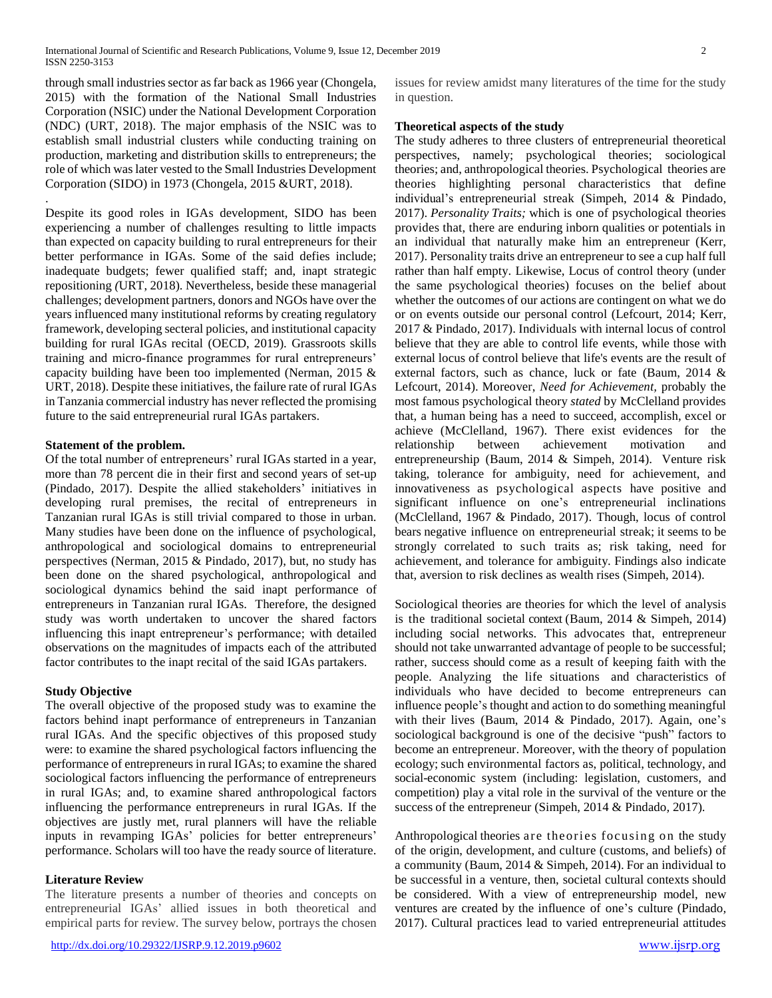through small industries sector as far back as 1966 year (Chongela, 2015) with the formation of the National Small Industries Corporation (NSIC) under the National Development Corporation (NDC) (URT, 2018). The major emphasis of the NSIC was to establish small industrial clusters while conducting training on production, marketing and distribution skills to entrepreneurs; the role of which was later vested to the Small Industries Development Corporation (SIDO) in 1973 (Chongela, 2015 &URT, 2018).

Despite its good roles in IGAs development, SIDO has been experiencing a number of challenges resulting to little impacts than expected on capacity building to rural entrepreneurs for their better performance in IGAs. Some of the said defies include; inadequate budgets; fewer qualified staff; and, inapt strategic repositioning *(*URT, 2018). Nevertheless, beside these managerial challenges; development partners, donors and NGOs have over the years influenced many institutional reforms by creating regulatory framework, developing secteral policies, and institutional capacity building for rural IGAs recital (OECD, 2019). Grassroots skills training and micro-finance programmes for rural entrepreneurs' capacity building have been too implemented (Nerman, 2015 & URT, 2018). Despite these initiatives, the failure rate of rural IGAs in Tanzania commercial industry has never reflected the promising future to the said entrepreneurial rural IGAs partakers.

## **Statement of the problem.**

.

Of the total number of entrepreneurs' rural IGAs started in a year, more than 78 percent die in their first and second years of set-up (Pindado*,* 2017). Despite the allied stakeholders' initiatives in developing rural premises, the recital of entrepreneurs in Tanzanian rural IGAs is still trivial compared to those in urban. Many studies have been done on the influence of psychological, anthropological and sociological domains to entrepreneurial perspectives (Nerman, 2015 & Pindado*,* 2017), but, no study has been done on the shared psychological, anthropological and sociological dynamics behind the said inapt performance of entrepreneurs in Tanzanian rural IGAs. Therefore, the designed study was worth undertaken to uncover the shared factors influencing this inapt entrepreneur's performance; with detailed observations on the magnitudes of impacts each of the attributed factor contributes to the inapt recital of the said IGAs partakers.

#### **Study Objective**

The overall objective of the proposed study was to examine the factors behind inapt performance of entrepreneurs in Tanzanian rural IGAs. And the specific objectives of this proposed study were: to examine the shared psychological factors influencing the performance of entrepreneurs in rural IGAs; to examine the shared sociological factors influencing the performance of entrepreneurs in rural IGAs; and, to examine shared anthropological factors influencing the performance entrepreneurs in rural IGAs. If the objectives are justly met, rural planners will have the reliable inputs in revamping IGAs' policies for better entrepreneurs' performance. Scholars will too have the ready source of literature.

## **Literature Review**

The literature presents a number of theories and concepts on entrepreneurial IGAs' allied issues in both theoretical and empirical parts for review. The survey below, portrays the chosen

<http://dx.doi.org/10.29322/IJSRP.9.12.2019.p9602> [www.ijsrp.org](http://ijsrp.org/)

issues for review amidst many literatures of the time for the study in question.

#### **Theoretical aspects of the study**

The study adheres to three clusters of entrepreneurial theoretical perspectives, namely; psychological theories; sociological theories; and, anthropological theories. Psychological theories are theories highlighting personal characteristics that define individual's entrepreneurial streak (Simpeh, 2014 & Pindado*,*  2017). *Personality Traits;* which is one of psychological theories provides that, there are enduring inborn qualities or potentials in an individual that naturally make him an entrepreneur (Kerr, 2017). Personality traits drive an entrepreneur to see a cup half full rather than half empty. Likewise, Locus of control theory (under the same psychological theories) focuses on the belief about whether the outcomes of our actions are contingent on what we do or on events outside our personal control (Lefcourt, 2014; Kerr, 2017 & Pindado*,* 2017). Individuals with internal locus of control believe that they are able to control life events, while those with external locus of control believe that life's events are the result of external factors, such as chance, luck or fate (Baum, 2014 & Lefcourt, 2014). Moreover, *Need for Achievement,* probably the most famous psychological theory *stated* by McClelland provides that, a human being has a need to succeed, accomplish, excel or achieve (McClelland, 1967). There exist evidences for the relationship between achievement motivation and entrepreneurship (Baum, 2014 & Simpeh, 2014). Venture risk taking, tolerance for ambiguity, need for achievement, and innovativeness as psychological aspects have positive and significant influence on one's entrepreneurial inclinations (McClelland, 1967 & Pindado*,* 2017). Though, locus of control bears negative influence on entrepreneurial streak; it seems to be strongly correlated to such traits as; risk taking, need for achievement, and tolerance for ambiguity. Findings also indicate that, aversion to risk declines as wealth rises (Simpeh, 2014).

Sociological theories are theories for which the level of analysis is the traditional societal context (Baum, 2014 & Simpeh, 2014) including social networks. This advocates that, entrepreneur should not take unwarranted advantage of people to be successful; rather, success should come as a result of keeping faith with the people. Analyzing the life situations and characteristics of individuals who have decided to become entrepreneurs can influence people's thought and action to do something meaningful with their lives (Baum, 2014 & Pindado*,* 2017). Again, one's sociological background is one of the decisive "push" factors to become an entrepreneur. Moreover, with the theory of population ecology; such environmental factors as, political, technology, and social-economic system (including: legislation, customers, and competition) play a vital role in the survival of the venture or the success of the entrepreneur (Simpeh, 2014 & Pindado*,* 2017).

Anthropological theories are theories focusing on the study of the origin, development, and culture (customs, and beliefs) of a community (Baum, 2014 & Simpeh, 2014). For an individual to be successful in a venture, then, societal cultural contexts should be considered. With a view of entrepreneurship model, new ventures are created by the influence of one's culture (Pindado*,*  2017). Cultural practices lead to varied entrepreneurial attitudes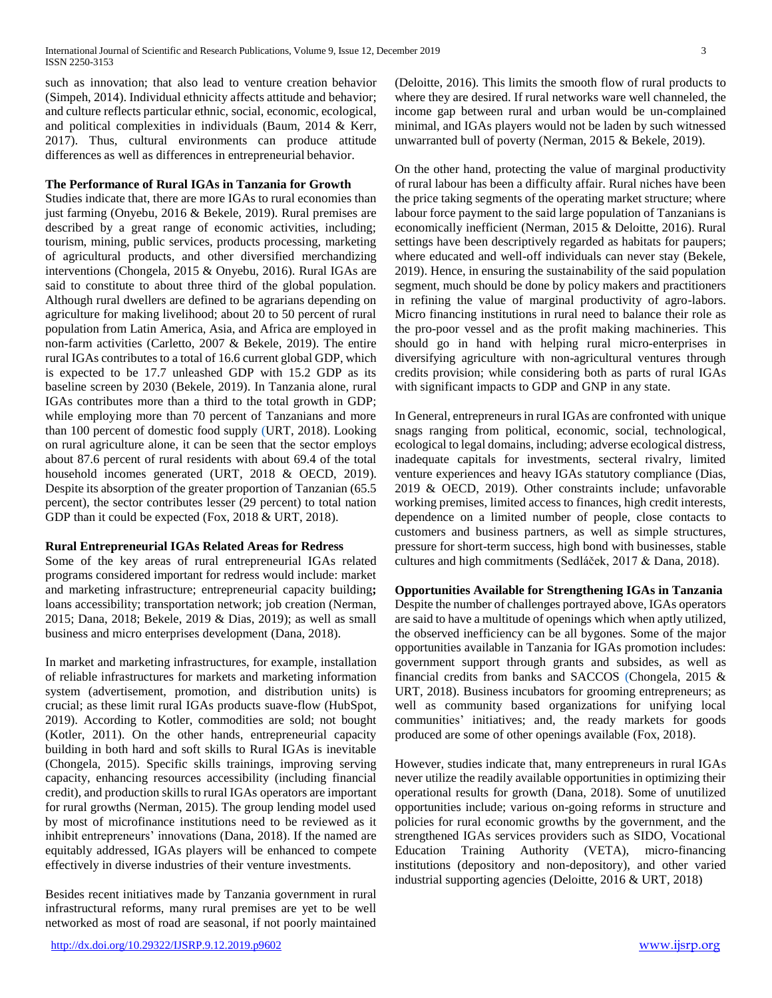such as innovation; that also lead to venture creation behavior (Simpeh, 2014). Individual ethnicity affects attitude and behavior; and culture reflects particular ethnic, social, economic, ecological, and political complexities in individuals (Baum, 2014 & Kerr, 2017). Thus, cultural environments can produce attitude differences as well as differences in entrepreneurial behavior.

## **The Performance of Rural IGAs in Tanzania for Growth**

Studies indicate that, there are more IGAs to rural economies than just farming (Onyebu, 2016 & Bekele, 2019). Rural premises are described by a great range of economic activities, including; tourism, mining, public services, products processing, marketing of agricultural products, and other diversified merchandizing interventions (Chongela, 2015 & Onyebu, 2016). Rural IGAs are said to constitute to about three third of the global population. Although rural dwellers are defined to be agrarians depending on agriculture for making livelihood; about 20 to 50 percent of rural population from Latin America, Asia, and Africa are employed in non-farm activities (Carletto, 2007 & Bekele, 2019). The entire rural IGAs contributes to a total of 16.6 current global GDP, which is expected to be 17.7 unleashed GDP with 15.2 GDP as its baseline screen by 2030 (Bekele, 2019). In Tanzania alone, rural IGAs contributes more than a third to the total growth in GDP; while employing more than 70 percent of Tanzanians and more than 100 percent of domestic food supply (URT, 2018). Looking on rural agriculture alone, it can be seen that the sector employs about 87.6 percent of rural residents with about 69.4 of the total household incomes generated (URT, 2018 & OECD, 2019). Despite its absorption of the greater proportion of Tanzanian (65.5 percent), the sector contributes lesser (29 percent) to total nation GDP than it could be expected (Fox, 2018 & URT, 2018).

#### **Rural Entrepreneurial IGAs Related Areas for Redress**

Some of the key areas of rural entrepreneurial IGAs related programs considered important for redress would include: market and marketing infrastructure; entrepreneurial capacity building**;**  loans accessibility; transportation network; job creation (Nerman, 2015; Dana, 2018; Bekele, 2019 & Dias, 2019); as well as small business and micro enterprises development (Dana, 2018).

In market and marketing infrastructures, for example, installation of reliable infrastructures for markets and marketing information system (advertisement, promotion, and distribution units) is crucial; as these limit rural IGAs products suave-flow (HubSpot, 2019). According to Kotler, commodities are sold; not bought (Kotler, 2011). On the other hands, entrepreneurial capacity building in both hard and soft skills to Rural IGAs is inevitable (Chongela, 2015). Specific skills trainings, improving serving capacity, enhancing resources accessibility (including financial credit), and production skills to rural IGAs operators are important for rural growths (Nerman, 2015). The group lending model used by most of microfinance institutions need to be reviewed as it inhibit entrepreneurs' innovations (Dana, 2018). If the named are equitably addressed, IGAs players will be enhanced to compete effectively in diverse industries of their venture investments.

Besides recent initiatives made by Tanzania government in rural infrastructural reforms, many rural premises are yet to be well networked as most of road are seasonal, if not poorly maintained (Deloitte, 2016). This limits the smooth flow of rural products to where they are desired. If rural networks ware well channeled, the income gap between rural and urban would be un-complained minimal, and IGAs players would not be laden by such witnessed unwarranted bull of poverty (Nerman, 2015 & Bekele, 2019).

On the other hand, protecting the value of marginal productivity of rural labour has been a difficulty affair. Rural niches have been the price taking segments of the operating market structure; where labour force payment to the said large population of Tanzanians is economically inefficient (Nerman, 2015 & Deloitte, 2016). Rural settings have been descriptively regarded as habitats for paupers; where educated and well-off individuals can never stay (Bekele, 2019). Hence, in ensuring the sustainability of the said population segment, much should be done by policy makers and practitioners in refining the value of marginal productivity of agro-labors. Micro financing institutions in rural need to balance their role as the pro-poor vessel and as the profit making machineries. This should go in hand with helping rural micro-enterprises in diversifying agriculture with non-agricultural ventures through credits provision; while considering both as parts of rural IGAs with significant impacts to GDP and GNP in any state.

In General, entrepreneurs in rural IGAs are confronted with unique snags ranging from political, economic, social, technological, ecological to legal domains, including; adverse ecological distress, inadequate capitals for investments, secteral rivalry, limited venture experiences and heavy IGAs statutory compliance (Dias, 2019 & OECD, 2019). Other constraints include; unfavorable working premises, limited access to finances, high credit interests, dependence on a limited number of people, close contacts to customers and business partners, as well as simple structures, pressure for short-term success, high bond with businesses, stable cultures and high commitments (Sedláček, 2017 & Dana, 2018).

## **Opportunities Available for Strengthening IGAs in Tanzania**

Despite the number of challenges portrayed above, IGAs operators are said to have a multitude of openings which when aptly utilized, the observed inefficiency can be all bygones. Some of the major opportunities available in Tanzania for IGAs promotion includes: government support through grants and subsides, as well as financial credits from banks and SACCOS (Chongela, 2015 & URT, 2018). Business incubators for grooming entrepreneurs; as well as community based organizations for unifying local communities' initiatives; and, the ready markets for goods produced are some of other openings available (Fox, 2018).

However, studies indicate that, many entrepreneurs in rural IGAs never utilize the readily available opportunities in optimizing their operational results for growth (Dana, 2018). Some of unutilized opportunities include; various on-going reforms in structure and policies for rural economic growths by the government, and the strengthened IGAs services providers such as SIDO, Vocational Education Training Authority (VETA), micro-financing institutions (depository and non-depository), and other varied industrial supporting agencies (Deloitte, 2016 & URT, 2018)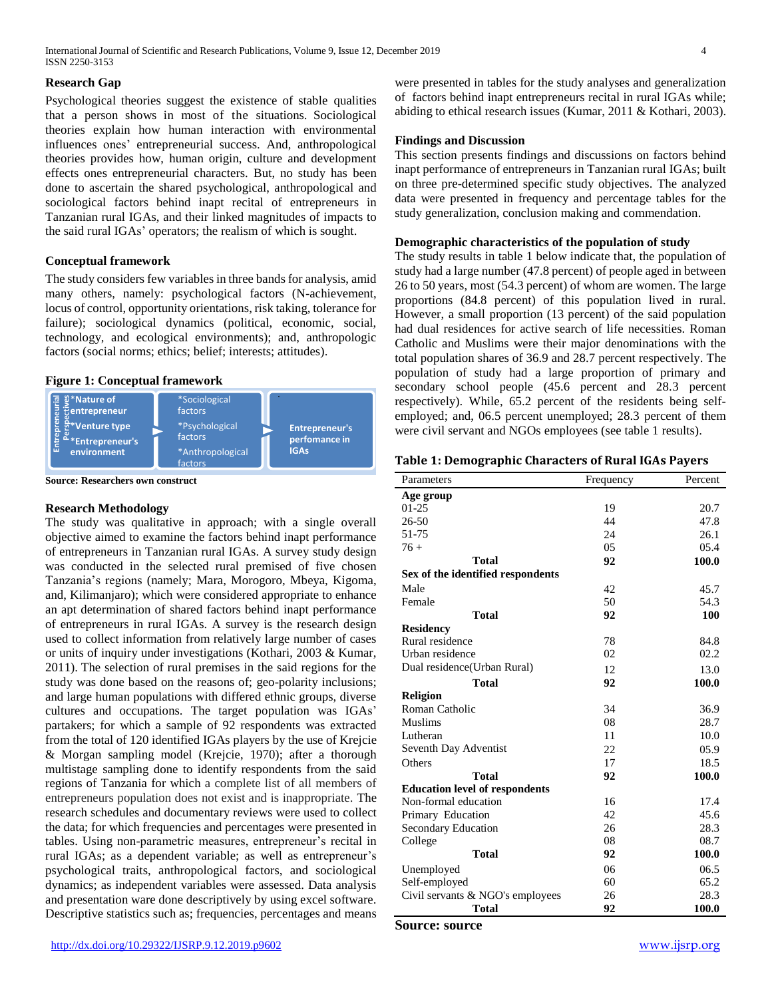## **Research Gap**

Psychological theories suggest the existence of stable qualities that a person shows in most of the situations. Sociological theories explain how human interaction with environmental influences ones' entrepreneurial success. And, anthropological theories provides how, human origin, culture and development effects ones entrepreneurial characters. But, no study has been done to ascertain the shared psychological, anthropological and sociological factors behind inapt recital of entrepreneurs in Tanzanian rural IGAs, and their linked magnitudes of impacts to the said rural IGAs' operators; the realism of which is sought.

#### **Conceptual framework**

The study considers few variables in three bands for analysis, amid many others, namely: psychological factors (N-achievement, locus of control, opportunity orientations, risk taking, tolerance for failure); sociological dynamics (political, economic, social, technology, and ecological environments); and, anthropologic factors (social norms; ethics; belief; interests; attitudes).

## **Figure 1: Conceptual framework**



**Source: Researchers own construct** 

## **Research Methodology**

The study was qualitative in approach; with a single overall objective aimed to examine the factors behind inapt performance of entrepreneurs in Tanzanian rural IGAs. A survey study design was conducted in the selected rural premised of five chosen Tanzania's regions (namely; Mara, Morogoro, Mbeya, Kigoma, and, Kilimanjaro); which were considered appropriate to enhance an apt determination of shared factors behind inapt performance of entrepreneurs in rural IGAs. A survey is the research design used to collect information from relatively large number of cases or units of inquiry under investigations (Kothari, 2003 & Kumar, 2011). The selection of rural premises in the said regions for the study was done based on the reasons of; geo-polarity inclusions; and large human populations with differed ethnic groups, diverse cultures and occupations. The target population was IGAs' partakers; for which a sample of 92 respondents was extracted from the total of 120 identified IGAs players by the use of Krejcie & Morgan sampling model (Krejcie, 1970); after a thorough multistage sampling done to identify respondents from the said regions of Tanzania for which a complete list of all members of entrepreneurs population does not exist and is inappropriate. The research schedules and documentary reviews were used to collect the data; for which frequencies and percentages were presented in tables. Using non-parametric measures, entrepreneur's recital in rural IGAs; as a dependent variable; as well as entrepreneur's psychological traits, anthropological factors, and sociological dynamics; as independent variables were assessed. Data analysis and presentation ware done descriptively by using excel software. Descriptive statistics such as; frequencies, percentages and means

were presented in tables for the study analyses and generalization of factors behind inapt entrepreneurs recital in rural IGAs while; abiding to ethical research issues (Kumar, 2011 & Kothari, 2003).

#### **Findings and Discussion**

This section presents findings and discussions on factors behind inapt performance of entrepreneurs in Tanzanian rural IGAs; built on three pre-determined specific study objectives. The analyzed data were presented in frequency and percentage tables for the study generalization, conclusion making and commendation.

#### **Demographic characteristics of the population of study**

The study results in table 1 below indicate that, the population of study had a large number (47.8 percent) of people aged in between 26 to 50 years, most (54.3 percent) of whom are women. The large proportions (84.8 percent) of this population lived in rural. However, a small proportion (13 percent) of the said population had dual residences for active search of life necessities. Roman Catholic and Muslims were their major denominations with the total population shares of 36.9 and 28.7 percent respectively. The population of study had a large proportion of primary and secondary school people (45.6 percent and 28.3 percent respectively). While, 65.2 percent of the residents being selfemployed; and, 06.5 percent unemployed; 28.3 percent of them were civil servant and NGOs employees (see table 1 results).

#### **Table 1: Demographic Characters of Rural IGAs Payers**

| Parameters                            | Frequency | Percent |
|---------------------------------------|-----------|---------|
| Age group                             |           |         |
| $01-25$                               | 19        | 20.7    |
| 26-50                                 | 44        | 47.8    |
| 51-75                                 | 24        | 26.1    |
| $76+$                                 | 05        | 05.4    |
| Total                                 | 92        | 100.0   |
| Sex of the identified respondents     |           |         |
| Male                                  | 42        | 45.7    |
| Female                                | 50        | 54.3    |
| <b>Total</b>                          | 92        | 100     |
| <b>Residency</b>                      |           |         |
| Rural residence                       | 78        | 84.8    |
| Urban residence                       | 02        | 02.2    |
| Dual residence (Urban Rural)          | 12        | 13.0    |
| <b>Total</b>                          | 92        | 100.0   |
| <b>Religion</b>                       |           |         |
| Roman Catholic                        | 34        | 36.9    |
| <b>Muslims</b>                        | 08        | 28.7    |
| Lutheran                              | 11        | 10.0    |
| Seventh Day Adventist                 | 22        | 05.9    |
| Others                                | 17        | 18.5    |
| Total                                 | 92        | 100.0   |
| <b>Education level of respondents</b> |           |         |
| Non-formal education                  | 16        | 17.4    |
| Primary Education                     | 42        | 45.6    |
| Secondary Education                   | 26        | 28.3    |
| College                               | 08        | 08.7    |
| <b>Total</b>                          | 92        | 100.0   |
| Unemployed                            | 06        | 06.5    |
| Self-employed                         | 60        | 65.2    |
| Civil servants & NGO's employees      | 26        | 28.3    |
| <b>Total</b>                          | 92        | 100.0   |

**Source: source**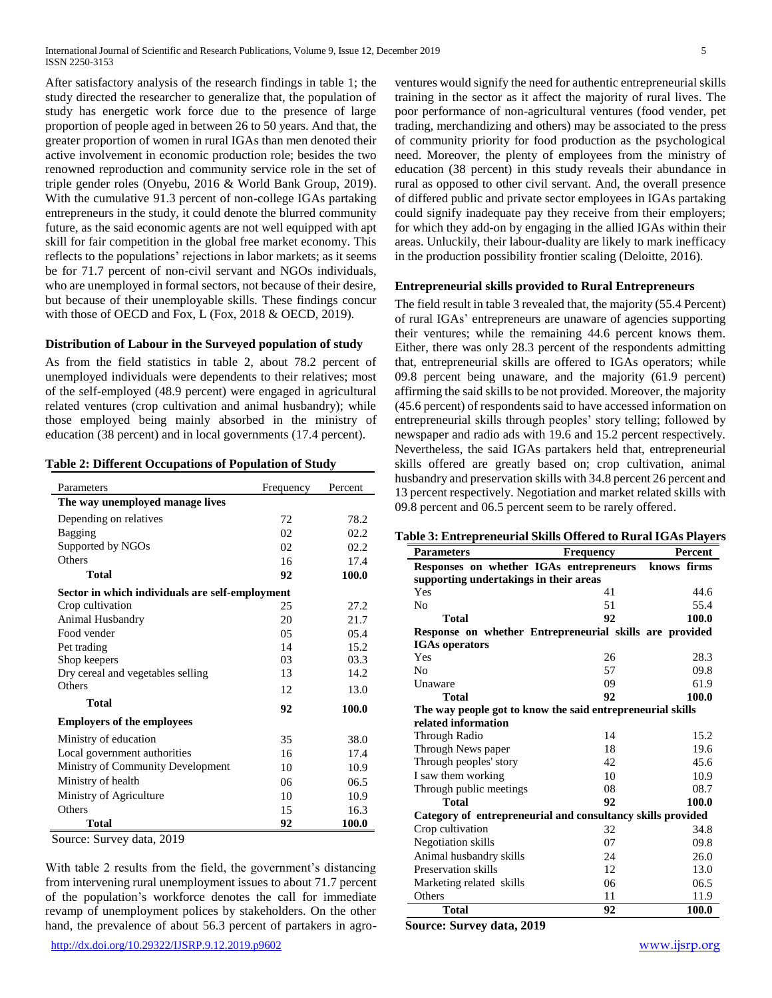After satisfactory analysis of the research findings in table 1; the study directed the researcher to generalize that, the population of study has energetic work force due to the presence of large proportion of people aged in between 26 to 50 years. And that, the greater proportion of women in rural IGAs than men denoted their active involvement in economic production role; besides the two renowned reproduction and community service role in the set of triple gender roles (Onyebu, 2016 & World Bank Group, 2019). With the cumulative 91.3 percent of non-college IGAs partaking entrepreneurs in the study, it could denote the blurred community future, as the said economic agents are not well equipped with apt skill for fair competition in the global free market economy. This reflects to the populations' rejections in labor markets; as it seems be for 71.7 percent of non-civil servant and NGOs individuals, who are unemployed in formal sectors, not because of their desire, but because of their unemployable skills. These findings concur with those of OECD and Fox, L (Fox, 2018 & OECD, 2019).

#### **Distribution of Labour in the Surveyed population of study**

As from the field statistics in table 2, about 78.2 percent of unemployed individuals were dependents to their relatives; most of the self-employed (48.9 percent) were engaged in agricultural related ventures (crop cultivation and animal husbandry); while those employed being mainly absorbed in the ministry of education (38 percent) and in local governments (17.4 percent).

| <b>Table 2: Different Occupations of Population of Study</b> |
|--------------------------------------------------------------|
|--------------------------------------------------------------|

| Parameters                                      | Frequency | Percent |
|-------------------------------------------------|-----------|---------|
| The way unemployed manage lives                 |           |         |
| Depending on relatives                          | 72        | 78.2    |
| Bagging                                         | 02.       | 02.2    |
| Supported by NGOs                               | 02        | 02.2    |
| Others                                          | 16        | 17.4    |
| Total                                           | 92        | 100.0   |
| Sector in which individuals are self-employment |           |         |
| Crop cultivation                                | 25        | 27.2    |
| Animal Husbandry                                | 20        | 21.7    |
| Food vender                                     | 05        | 05.4    |
| Pet trading                                     | 14        | 15.2    |
| Shop keepers                                    | 03        | 03.3    |
| Dry cereal and vegetables selling               | 13        | 14.2    |
| Others                                          | 12        | 13.0    |
| <b>Total</b>                                    | 92        | 100.0   |
| <b>Employers of the employees</b>               |           |         |
| Ministry of education                           | 35        | 38.0    |
| Local government authorities                    | 16        | 17.4    |
| Ministry of Community Development               | 10        | 10.9    |
| Ministry of health                              | 06        | 06.5    |
| Ministry of Agriculture                         | 10        | 10.9    |
| Others                                          | 15        | 16.3    |
| Total                                           | 92        | 100.0   |

Source: Survey data, 2019

With table 2 results from the field, the government's distancing from intervening rural unemployment issues to about 71.7 percent of the population's workforce denotes the call for immediate revamp of unemployment polices by stakeholders. On the other hand, the prevalence of about 56.3 percent of partakers in agroventures would signify the need for authentic entrepreneurial skills training in the sector as it affect the majority of rural lives. The poor performance of non-agricultural ventures (food vender, pet trading, merchandizing and others) may be associated to the press of community priority for food production as the psychological need. Moreover, the plenty of employees from the ministry of education (38 percent) in this study reveals their abundance in rural as opposed to other civil servant. And, the overall presence of differed public and private sector employees in IGAs partaking could signify inadequate pay they receive from their employers; for which they add-on by engaging in the allied IGAs within their areas. Unluckily, their labour-duality are likely to mark inefficacy in the production possibility frontier scaling (Deloitte, 2016).

#### **Entrepreneurial skills provided to Rural Entrepreneurs**

The field result in table 3 revealed that, the majority (55.4 Percent) of rural IGAs' entrepreneurs are unaware of agencies supporting their ventures; while the remaining 44.6 percent knows them. Either, there was only 28.3 percent of the respondents admitting that, entrepreneurial skills are offered to IGAs operators; while 09.8 percent being unaware, and the majority (61.9 percent) affirming the said skills to be not provided. Moreover, the majority (45.6 percent) of respondents said to have accessed information on entrepreneurial skills through peoples' story telling; followed by newspaper and radio ads with 19.6 and 15.2 percent respectively. Nevertheless, the said IGAs partakers held that, entrepreneurial skills offered are greatly based on; crop cultivation, animal husbandry and preservation skills with 34.8 percent 26 percent and 13 percent respectively. Negotiation and market related skills with 09.8 percent and 06.5 percent seem to be rarely offered.

| Table 3: Entrepreneurial Skills Offered to Rural IGAs Players |  |
|---------------------------------------------------------------|--|
|---------------------------------------------------------------|--|

| <b>Parameters</b>                                           | Percent |       |  |  |  |  |  |
|-------------------------------------------------------------|---------|-------|--|--|--|--|--|
| Responses on whether IGAs entrepreneurs knows firms         |         |       |  |  |  |  |  |
| supporting undertakings in their areas                      |         |       |  |  |  |  |  |
| Yes                                                         | 41      | 44.6  |  |  |  |  |  |
| N <sub>0</sub>                                              | 51      | 55.4  |  |  |  |  |  |
| <b>Total</b>                                                | 92      | 100.0 |  |  |  |  |  |
| Response on whether Entrepreneurial skills are provided     |         |       |  |  |  |  |  |
| <b>IGAs</b> operators                                       |         |       |  |  |  |  |  |
| Yes                                                         | 26      | 28.3  |  |  |  |  |  |
| No                                                          | 57      | 09.8  |  |  |  |  |  |
| Unaware                                                     | 09      | 61.9  |  |  |  |  |  |
| <b>Total</b>                                                | 92      | 100.0 |  |  |  |  |  |
| The way people got to know the said entrepreneurial skills  |         |       |  |  |  |  |  |
| related information                                         |         |       |  |  |  |  |  |
| Through Radio                                               | 14      | 15.2  |  |  |  |  |  |
| Through News paper                                          | 18      | 19.6  |  |  |  |  |  |
| Through peoples' story                                      | 42      | 45.6  |  |  |  |  |  |
| I saw them working                                          | 10      | 10.9  |  |  |  |  |  |
| Through public meetings                                     | 08      | 08.7  |  |  |  |  |  |
| Total                                                       | 92      | 100.0 |  |  |  |  |  |
| Category of entrepreneurial and consultancy skills provided |         |       |  |  |  |  |  |
| Crop cultivation                                            | 32      | 34.8  |  |  |  |  |  |
| Negotiation skills                                          | 07      | 09.8  |  |  |  |  |  |
| Animal husbandry skills                                     | 24      | 26.0  |  |  |  |  |  |
| Preservation skills                                         | 12      | 13.0  |  |  |  |  |  |
| Marketing related skills                                    | 06      | 06.5  |  |  |  |  |  |
| Others                                                      | 11      | 11.9  |  |  |  |  |  |
| <b>Total</b>                                                | 92      | 100.0 |  |  |  |  |  |

**Source: Survey data, 2019**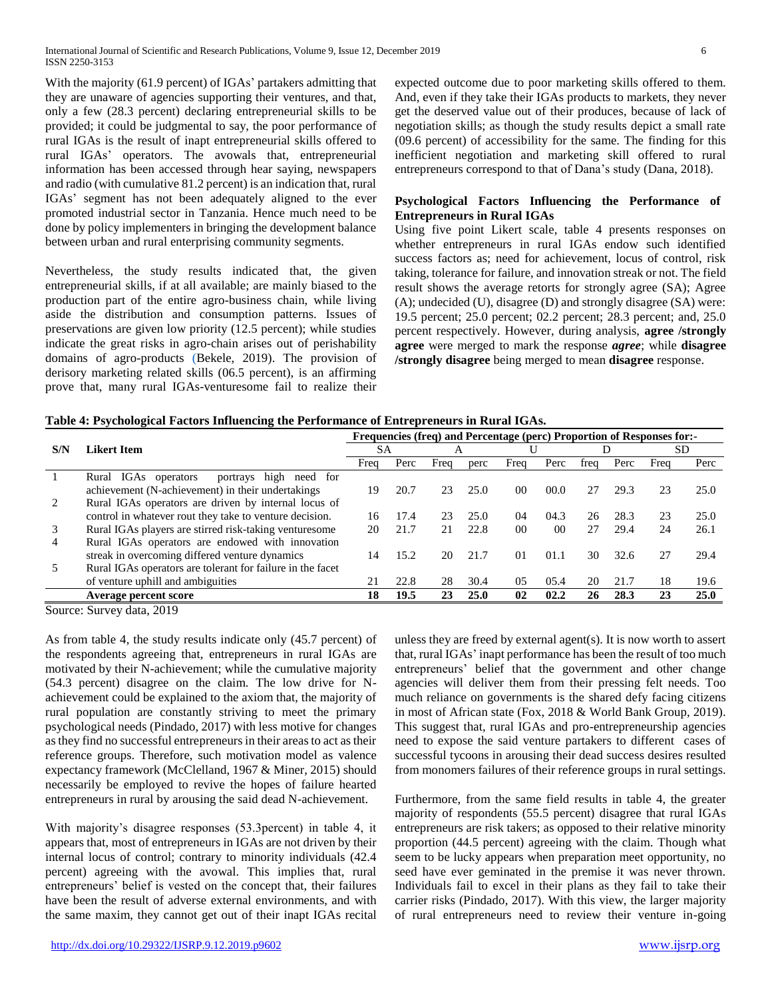With the majority (61.9 percent) of IGAs' partakers admitting that they are unaware of agencies supporting their ventures, and that, only a few (28.3 percent) declaring entrepreneurial skills to be provided; it could be judgmental to say, the poor performance of rural IGAs is the result of inapt entrepreneurial skills offered to rural IGAs' operators. The avowals that, entrepreneurial information has been accessed through hear saying, newspapers and radio (with cumulative 81.2 percent) is an indication that, rural IGAs' segment has not been adequately aligned to the ever promoted industrial sector in Tanzania. Hence much need to be done by policy implementers in bringing the development balance between urban and rural enterprising community segments.

Nevertheless, the study results indicated that, the given entrepreneurial skills, if at all available; are mainly biased to the production part of the entire agro-business chain, while living aside the distribution and consumption patterns. Issues of preservations are given low priority (12.5 percent); while studies indicate the great risks in agro-chain arises out of perishability domains of agro-products (Bekele, 2019). The provision of derisory marketing related skills (06.5 percent), is an affirming prove that, many rural IGAs-venturesome fail to realize their expected outcome due to poor marketing skills offered to them. And, even if they take their IGAs products to markets, they never get the deserved value out of their produces, because of lack of negotiation skills; as though the study results depict a small rate (09.6 percent) of accessibility for the same. The finding for this inefficient negotiation and marketing skill offered to rural entrepreneurs correspond to that of Dana's study (Dana, 2018).

## **Psychological Factors Influencing the Performance of Entrepreneurs in Rural IGAs**

Using five point Likert scale, table 4 presents responses on whether entrepreneurs in rural IGAs endow such identified success factors as; need for achievement, locus of control, risk taking, tolerance for failure, and innovation streak or not. The field result shows the average retorts for strongly agree (SA); Agree (A); undecided (U), disagree (D) and strongly disagree (SA) were: 19.5 percent; 25.0 percent; 02.2 percent; 28.3 percent; and, 25.0 percent respectively. However, during analysis, **agree /strongly agree** were merged to mark the response *agree*; while **disagree /strongly disagree** being merged to mean **disagree** response.

| Table 4: Psychological Factors Influencing the Performance of Entrepreneurs in Rural IGAs. |  |  |
|--------------------------------------------------------------------------------------------|--|--|
|--------------------------------------------------------------------------------------------|--|--|

|     |                                                            | <b>Frequencies (freq) and Percentage (perc) Proportion of Responses for:-</b> |           |      |      |                 |                |      |      |      |      |  |
|-----|------------------------------------------------------------|-------------------------------------------------------------------------------|-----------|------|------|-----------------|----------------|------|------|------|------|--|
| S/N | Likert Item                                                |                                                                               | <b>SA</b> |      | A    |                 |                |      |      |      | SD.  |  |
|     |                                                            | Freq                                                                          | Perc      | Freq | perc | Freq            | Perc           | freq | Perc | Freq | Perc |  |
|     | IGAs operators<br>high<br>Rural<br>portrays<br>need for    |                                                                               |           |      |      |                 |                |      |      |      |      |  |
|     | achievement (N-achievement) in their undertakings          | 19                                                                            | 20.7      | 23   | 25.0 | 00 <sup>1</sup> | 00.0           | 27   | 29.3 | 23   | 25.0 |  |
|     | Rural IGAs operators are driven by internal locus of       |                                                                               |           |      |      |                 |                |      |      |      |      |  |
|     | control in whatever rout they take to venture decision.    | 16                                                                            | 17.4      | 23   | 25.0 | 04              | 04.3           | 26   | 28.3 | 23   | 25.0 |  |
| 3   | Rural IGAs players are stirred risk-taking venturesome     | 20                                                                            | 21.7      | 21   | 22.8 | 00 <sup>0</sup> | 0 <sup>0</sup> | 27   | 29.4 | 24   | 26.1 |  |
| 4   | Rural IGAs operators are endowed with innovation           |                                                                               |           |      |      |                 |                |      |      |      |      |  |
|     | streak in overcoming differed venture dynamics             | 14                                                                            | 15.2      | 20   | 21.7 | 01              | 01.1           | 30   | 32.6 | 27   | 29.4 |  |
|     | Rural IGAs operators are tolerant for failure in the facet |                                                                               |           |      |      |                 |                |      |      |      |      |  |
|     | of venture uphill and ambiguities                          | 21                                                                            | 22.8      | 28   | 30.4 | 0 <sub>5</sub>  | 05.4           | 20   | 21.7 | 18   | 19.6 |  |
|     | Average percent score                                      | 18                                                                            | 19.5      | 23   | 25.0 | 02              | 02.2           | 26   | 28.3 | 23   | 25.0 |  |

Source: Survey data, 2019

As from table 4, the study results indicate only (45.7 percent) of the respondents agreeing that, entrepreneurs in rural IGAs are motivated by their N-achievement; while the cumulative majority (54.3 percent) disagree on the claim. The low drive for Nachievement could be explained to the axiom that, the majority of rural population are constantly striving to meet the primary psychological needs (Pindado*,* 2017) with less motive for changes as they find no successful entrepreneurs in their areas to act as their reference groups. Therefore, such motivation model as valence expectancy framework (McClelland, 1967 & Miner, 2015) should necessarily be employed to revive the hopes of failure hearted entrepreneurs in rural by arousing the said dead N-achievement.

With majority's disagree responses (53.3percent) in table 4, it appears that, most of entrepreneurs in IGAs are not driven by their internal locus of control; contrary to minority individuals (42.4 percent) agreeing with the avowal. This implies that, rural entrepreneurs' belief is vested on the concept that, their failures have been the result of adverse external environments, and with the same maxim, they cannot get out of their inapt IGAs recital unless they are freed by external agent(s). It is now worth to assert that, rural IGAs' inapt performance has been the result of too much entrepreneurs' belief that the government and other change agencies will deliver them from their pressing felt needs. Too much reliance on governments is the shared defy facing citizens in most of African state (Fox, 2018 & World Bank Group, 2019). This suggest that, rural IGAs and pro-entrepreneurship agencies need to expose the said venture partakers to different cases of successful tycoons in arousing their dead success desires resulted from monomers failures of their reference groups in rural settings.

Furthermore, from the same field results in table 4, the greater majority of respondents (55.5 percent) disagree that rural IGAs entrepreneurs are risk takers; as opposed to their relative minority proportion (44.5 percent) agreeing with the claim. Though what seem to be lucky appears when preparation meet opportunity, no seed have ever geminated in the premise it was never thrown. Individuals fail to excel in their plans as they fail to take their carrier risks (Pindado*,* 2017). With this view, the larger majority of rural entrepreneurs need to review their venture in-going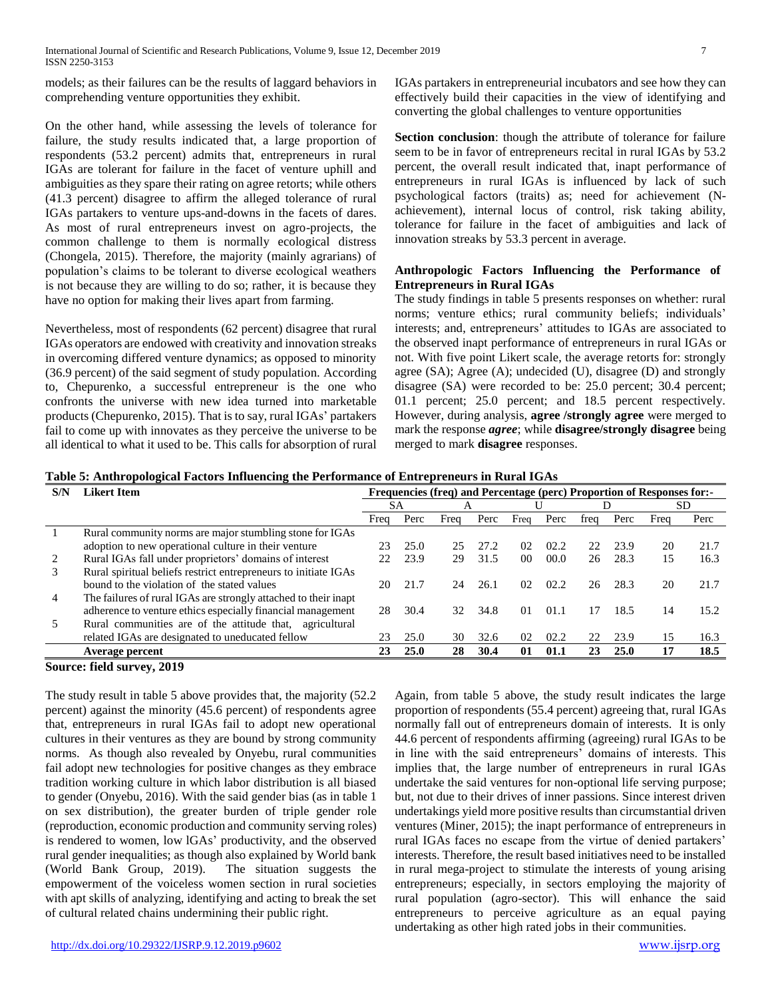models; as their failures can be the results of laggard behaviors in comprehending venture opportunities they exhibit.

On the other hand, while assessing the levels of tolerance for failure, the study results indicated that, a large proportion of respondents (53.2 percent) admits that, entrepreneurs in rural IGAs are tolerant for failure in the facet of venture uphill and ambiguities as they spare their rating on agree retorts; while others (41.3 percent) disagree to affirm the alleged tolerance of rural IGAs partakers to venture ups-and-downs in the facets of dares. As most of rural entrepreneurs invest on agro-projects, the common challenge to them is normally ecological distress (Chongela, 2015). Therefore, the majority (mainly agrarians) of population's claims to be tolerant to diverse ecological weathers is not because they are willing to do so; rather, it is because they have no option for making their lives apart from farming.

Nevertheless, most of respondents (62 percent) disagree that rural IGAs operators are endowed with creativity and innovation streaks in overcoming differed venture dynamics; as opposed to minority (36.9 percent) of the said segment of study population. According to, Chepurenko, a successful entrepreneur is the one who confronts the universe with new idea turned into marketable products (Chepurenko, 2015). That is to say, rural IGAs' partakers fail to come up with innovates as they perceive the universe to be all identical to what it used to be. This calls for absorption of rural IGAs partakers in entrepreneurial incubators and see how they can effectively build their capacities in the view of identifying and converting the global challenges to venture opportunities

**Section conclusion**: though the attribute of tolerance for failure seem to be in favor of entrepreneurs recital in rural IGAs by 53.2 percent, the overall result indicated that, inapt performance of entrepreneurs in rural IGAs is influenced by lack of such psychological factors (traits) as; need for achievement (Nachievement), internal locus of control, risk taking ability, tolerance for failure in the facet of ambiguities and lack of innovation streaks by 53.3 percent in average.

#### **Anthropologic Factors Influencing the Performance of Entrepreneurs in Rural IGAs**

The study findings in table 5 presents responses on whether: rural norms; venture ethics; rural community beliefs; individuals' interests; and, entrepreneurs' attitudes to IGAs are associated to the observed inapt performance of entrepreneurs in rural IGAs or not. With five point Likert scale, the average retorts for: strongly agree (SA); Agree (A); undecided (U), disagree (D) and strongly disagree (SA) were recorded to be: 25.0 percent; 30.4 percent; 01.1 percent; 25.0 percent; and 18.5 percent respectively. However, during analysis, **agree /strongly agree** were merged to mark the response *agree*; while **disagree/strongly disagree** being merged to mark **disagree** responses.

|  |  |  |  | Table 5: Anthropological Factors Influencing the Performance of Entrepreneurs in Rural IGAs |
|--|--|--|--|---------------------------------------------------------------------------------------------|
|  |  |  |  |                                                                                             |

| S/N | Likert Item                                                     | Frequencies (freq) and Percentage (perc) Proportion of Responses for:- |      |      |      |                 |      |      |      |      |      |  |  |
|-----|-----------------------------------------------------------------|------------------------------------------------------------------------|------|------|------|-----------------|------|------|------|------|------|--|--|
|     |                                                                 |                                                                        | SА   | A    |      |                 |      |      |      |      | SD   |  |  |
|     |                                                                 | Freq                                                                   | Perc | Freq | Perc | Frea            | Perc | trea | Perc | Freq | Perc |  |  |
|     | Rural community norms are major stumbling stone for IGAs        |                                                                        |      |      |      |                 |      |      |      |      |      |  |  |
|     | adoption to new operational culture in their venture            | 23                                                                     | 25.0 | 25   | 27.2 | 02              | 02.2 | 22   | 23.9 | 20   | 21.7 |  |  |
|     | Rural IGAs fall under proprietors' domains of interest          | 22                                                                     | 23.9 | 29   | 31.5 | 00 <sup>2</sup> | 00.0 | 26   | 28.3 | 15   | 16.3 |  |  |
|     | Rural spiritual beliefs restrict entrepreneurs to initiate IGAs |                                                                        |      |      |      |                 |      |      |      |      |      |  |  |
|     | bound to the violation of the stated values                     | 20                                                                     | 21.7 | 24   | 26.1 | 02.             | 02.2 | 26   | 28.3 | 20   | 21.7 |  |  |
| 4   | The failures of rural IGAs are strongly attached to their inapt |                                                                        |      |      |      |                 |      |      |      |      |      |  |  |
|     | adherence to venture ethics especially financial management     | 28                                                                     | 30.4 | 32.  | 34.8 | $\Omega$        | 01.1 | 17   | 18.5 | 14   | 15.2 |  |  |
|     | Rural communities are of the attitude that,<br>agricultural     |                                                                        |      |      |      |                 |      |      |      |      |      |  |  |
|     | related IGAs are designated to uneducated fellow                | 23                                                                     | 25.0 | 30   | 32.6 | 02              | 02.2 | 22   | 23.9 | 15   | 16.3 |  |  |
|     | Average percent                                                 | 23                                                                     | 25.0 | 28   | 30.4 | 01              | 01.1 | 23   | 25.0 | 17   | 18.5 |  |  |
|     |                                                                 |                                                                        |      |      |      |                 |      |      |      |      |      |  |  |

#### **Source: field survey, 2019**

The study result in table 5 above provides that, the majority (52.2 percent) against the minority (45.6 percent) of respondents agree that, entrepreneurs in rural IGAs fail to adopt new operational cultures in their ventures as they are bound by strong community norms. As though also revealed by Onyebu, rural communities fail adopt new technologies for positive changes as they embrace tradition working culture in which labor distribution is all biased to gender (Onyebu, 2016). With the said gender bias (as in table 1 on sex distribution), the greater burden of triple gender role (reproduction, economic production and community serving roles) is rendered to women, low lGAs' productivity, and the observed rural gender inequalities; as though also explained by World bank (World Bank Group, 2019). The situation suggests the empowerment of the voiceless women section in rural societies with apt skills of analyzing, identifying and acting to break the set of cultural related chains undermining their public right.

Again, from table 5 above, the study result indicates the large proportion of respondents (55.4 percent) agreeing that, rural IGAs normally fall out of entrepreneurs domain of interests. It is only 44.6 percent of respondents affirming (agreeing) rural IGAs to be in line with the said entrepreneurs' domains of interests. This implies that, the large number of entrepreneurs in rural IGAs undertake the said ventures for non-optional life serving purpose; but, not due to their drives of inner passions. Since interest driven undertakings yield more positive results than circumstantial driven ventures (Miner, 2015); the inapt performance of entrepreneurs in rural IGAs faces no escape from the virtue of denied partakers' interests. Therefore, the result based initiatives need to be installed in rural mega-project to stimulate the interests of young arising entrepreneurs; especially, in sectors employing the majority of rural population (agro-sector). This will enhance the said entrepreneurs to perceive agriculture as an equal paying undertaking as other high rated jobs in their communities.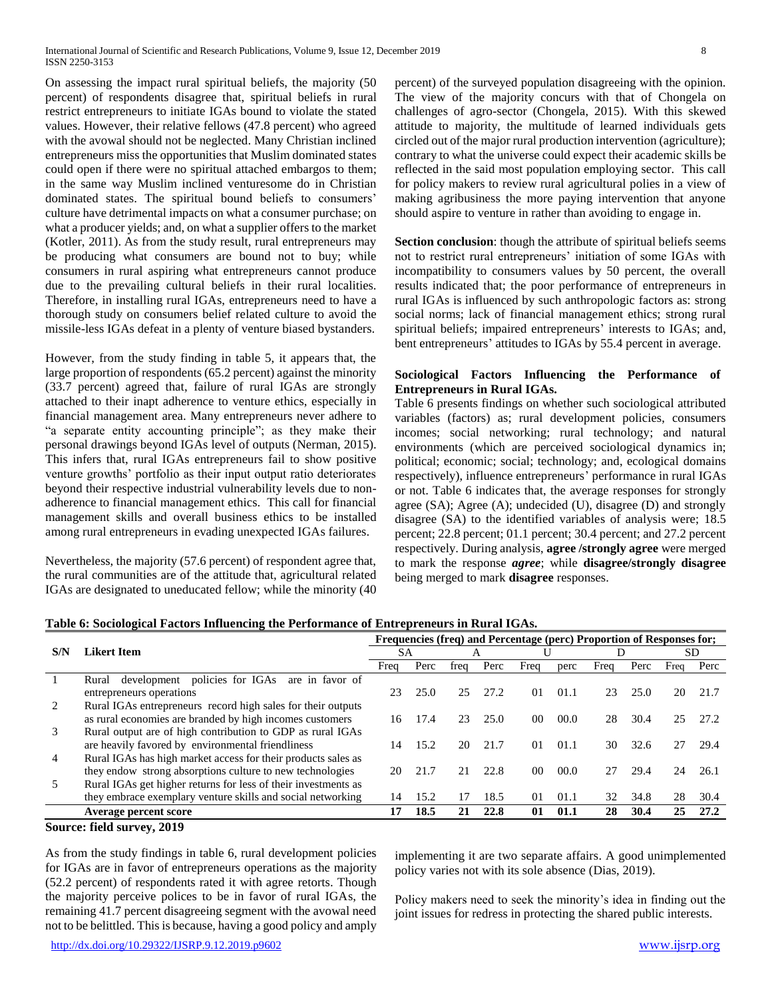On assessing the impact rural spiritual beliefs, the majority (50 percent) of respondents disagree that, spiritual beliefs in rural restrict entrepreneurs to initiate IGAs bound to violate the stated values. However, their relative fellows (47.8 percent) who agreed with the avowal should not be neglected. Many Christian inclined entrepreneurs miss the opportunities that Muslim dominated states could open if there were no spiritual attached embargos to them; in the same way Muslim inclined venturesome do in Christian dominated states. The spiritual bound beliefs to consumers' culture have detrimental impacts on what a consumer purchase; on what a producer yields; and, on what a supplier offers to the market (Kotler, 2011). As from the study result, rural entrepreneurs may be producing what consumers are bound not to buy; while consumers in rural aspiring what entrepreneurs cannot produce due to the prevailing cultural beliefs in their rural localities. Therefore, in installing rural IGAs, entrepreneurs need to have a thorough study on consumers belief related culture to avoid the missile-less IGAs defeat in a plenty of venture biased bystanders.

However, from the study finding in table 5, it appears that, the large proportion of respondents (65.2 percent) against the minority (33.7 percent) agreed that, failure of rural IGAs are strongly attached to their inapt adherence to venture ethics, especially in financial management area. Many entrepreneurs never adhere to "a separate entity accounting principle"; as they make their personal drawings beyond IGAs level of outputs (Nerman, 2015). This infers that, rural IGAs entrepreneurs fail to show positive venture growths' portfolio as their input output ratio deteriorates beyond their respective industrial vulnerability levels due to nonadherence to financial management ethics. This call for financial management skills and overall business ethics to be installed among rural entrepreneurs in evading unexpected IGAs failures.

Nevertheless, the majority (57.6 percent) of respondent agree that, the rural communities are of the attitude that, agricultural related IGAs are designated to uneducated fellow; while the minority (40 percent) of the surveyed population disagreeing with the opinion. The view of the majority concurs with that of Chongela on challenges of agro-sector (Chongela, 2015). With this skewed attitude to majority, the multitude of learned individuals gets circled out of the major rural production intervention (agriculture); contrary to what the universe could expect their academic skills be reflected in the said most population employing sector. This call for policy makers to review rural agricultural polies in a view of making agribusiness the more paying intervention that anyone should aspire to venture in rather than avoiding to engage in.

**Section conclusion**: though the attribute of spiritual beliefs seems not to restrict rural entrepreneurs' initiation of some IGAs with incompatibility to consumers values by 50 percent, the overall results indicated that; the poor performance of entrepreneurs in rural IGAs is influenced by such anthropologic factors as: strong social norms; lack of financial management ethics; strong rural spiritual beliefs; impaired entrepreneurs' interests to IGAs; and, bent entrepreneurs' attitudes to IGAs by 55.4 percent in average.

#### **Sociological Factors Influencing the Performance of Entrepreneurs in Rural IGAs.**

Table 6 presents findings on whether such sociological attributed variables (factors) as; rural development policies, consumers incomes; social networking; rural technology; and natural environments (which are perceived sociological dynamics in; political; economic; social; technology; and, ecological domains respectively), influence entrepreneurs' performance in rural IGAs or not. Table 6 indicates that, the average responses for strongly agree (SA); Agree (A); undecided (U), disagree (D) and strongly disagree (SA) to the identified variables of analysis were; 18.5 percent; 22.8 percent; 01.1 percent; 30.4 percent; and 27.2 percent respectively. During analysis, **agree /strongly agree** were merged to mark the response *agree*; while **disagree/strongly disagree** being merged to mark **disagree** responses.

|     |                                                                |      |      |      |      |                |      |      |      | Frequencies (freq) and Percentage (perc) Proportion of Responses for; |      |  |  |  |
|-----|----------------------------------------------------------------|------|------|------|------|----------------|------|------|------|-----------------------------------------------------------------------|------|--|--|--|
| S/N | Likert Item                                                    |      | SА   |      | Α    |                |      |      |      |                                                                       | SD   |  |  |  |
|     |                                                                | Freq | Perc | treg | Perc | Freq           | perc | Freq | Perc | Freq                                                                  | Perc |  |  |  |
|     | development policies for IGAs<br>are in favor of<br>Rural      |      |      |      |      |                |      |      |      |                                                                       |      |  |  |  |
|     | entrepreneurs operations                                       | 23   | 25.0 | 25   | 27.2 | 01             | 01.1 | 23   | 25.0 | 20                                                                    | 21.7 |  |  |  |
|     | Rural IGAs entrepreneurs record high sales for their outputs   |      |      |      |      |                |      |      |      |                                                                       |      |  |  |  |
|     | as rural economies are branded by high incomes customers       | 16   | 17.4 | 23   | 25.0 | 0 <sup>0</sup> | 00.0 | 28   | 30.4 | 25                                                                    | 27.2 |  |  |  |
| 3   | Rural output are of high contribution to GDP as rural IGAs     |      |      |      |      |                |      |      |      |                                                                       |      |  |  |  |
|     | are heavily favored by environmental friendliness              | 14   | 15.2 | 20   | 21.7 | 01             | 01.1 | 30   | 32.6 | 27                                                                    | 29.4 |  |  |  |
| 4   | Rural IGAs has high market access for their products sales as  |      |      |      |      |                |      |      |      |                                                                       |      |  |  |  |
|     | they endow strong absorptions culture to new technologies      | 20   | 21.7 | 21   | 22.8 | 0 <sup>0</sup> | 00.0 | 27   | 29.4 | 24                                                                    | 26.1 |  |  |  |
|     | Rural IGAs get higher returns for less of their investments as |      |      |      |      |                |      |      |      |                                                                       |      |  |  |  |
|     | they embrace exemplary venture skills and social networking    | 14   | 15.2 | 17   | 18.5 | 01             | 01.1 | 32   | 34.8 | 28                                                                    | 30.4 |  |  |  |
|     | Average percent score                                          | 17   | 18.5 | 21   | 22.8 | 01             | 01.1 | 28   | 30.4 | 25                                                                    | 27.2 |  |  |  |
|     | $C_{2}$ $\cdots$ $C_{n}$ $11$ $\cdots$ $2010$                  |      |      |      |      |                |      |      |      |                                                                       |      |  |  |  |

# **Table 6: Sociological Factors Influencing the Performance of Entrepreneurs in Rural IGAs.**

#### **Source: field survey, 2019**

As from the study findings in table 6, rural development policies for IGAs are in favor of entrepreneurs operations as the majority (52.2 percent) of respondents rated it with agree retorts. Though the majority perceive polices to be in favor of rural IGAs, the remaining 41.7 percent disagreeing segment with the avowal need not to be belittled. This is because, having a good policy and amply

implementing it are two separate affairs. A good unimplemented policy varies not with its sole absence (Dias, 2019).

Policy makers need to seek the minority's idea in finding out the joint issues for redress in protecting the shared public interests.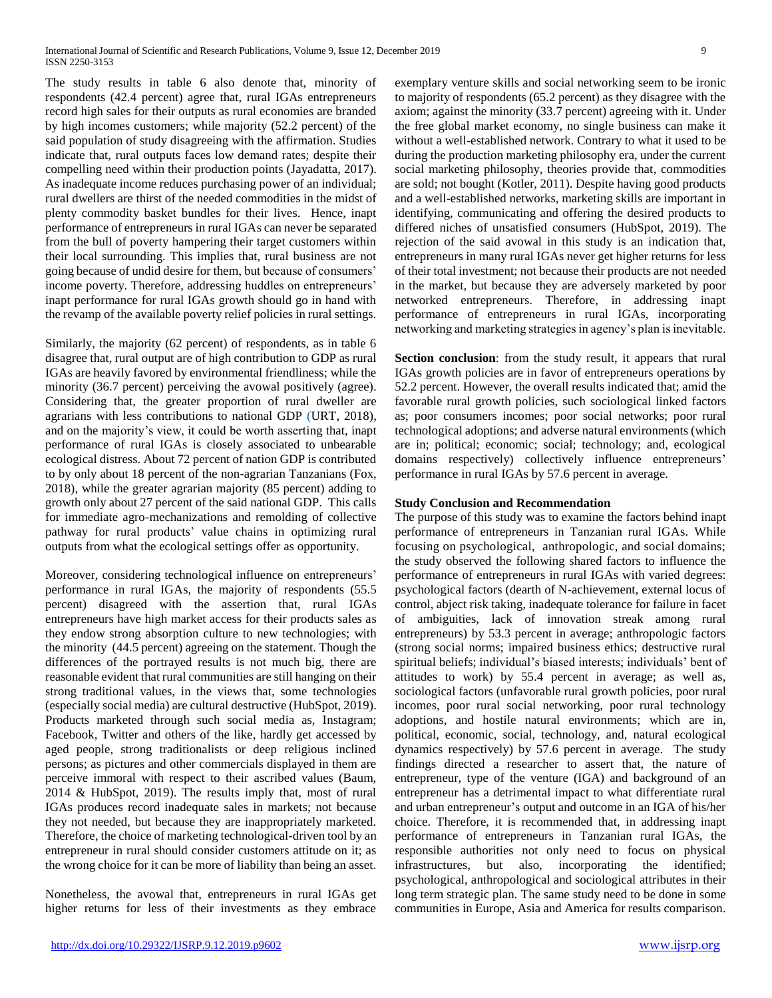The study results in table 6 also denote that, minority of respondents (42.4 percent) agree that, rural IGAs entrepreneurs record high sales for their outputs as rural economies are branded by high incomes customers; while majority (52.2 percent) of the said population of study disagreeing with the affirmation. Studies indicate that, rural outputs faces low demand rates; despite their compelling need within their production points (Jayadatta, 2017). As inadequate income reduces purchasing power of an individual; rural dwellers are thirst of the needed commodities in the midst of plenty commodity basket bundles for their lives. Hence, inapt performance of entrepreneurs in rural IGAs can never be separated from the bull of poverty hampering their target customers within their local surrounding. This implies that, rural business are not going because of undid desire for them, but because of consumers' income poverty. Therefore, addressing huddles on entrepreneurs' inapt performance for rural IGAs growth should go in hand with the revamp of the available poverty relief policies in rural settings.

Similarly, the majority (62 percent) of respondents, as in table 6 disagree that, rural output are of high contribution to GDP as rural IGAs are heavily favored by environmental friendliness; while the minority (36.7 percent) perceiving the avowal positively (agree). Considering that, the greater proportion of rural dweller are agrarians with less contributions to national GDP (URT, 2018), and on the majority's view, it could be worth asserting that, inapt performance of rural IGAs is closely associated to unbearable ecological distress. About 72 percent of nation GDP is contributed to by only about 18 percent of the non-agrarian Tanzanians (Fox, 2018), while the greater agrarian majority (85 percent) adding to growth only about 27 percent of the said national GDP. This calls for immediate agro-mechanizations and remolding of collective pathway for rural products' value chains in optimizing rural outputs from what the ecological settings offer as opportunity.

Moreover, considering technological influence on entrepreneurs' performance in rural IGAs, the majority of respondents (55.5 percent) disagreed with the assertion that, rural IGAs entrepreneurs have high market access for their products sales as they endow strong absorption culture to new technologies; with the minority (44.5 percent) agreeing on the statement. Though the differences of the portrayed results is not much big, there are reasonable evident that rural communities are still hanging on their strong traditional values, in the views that, some technologies (especially social media) are cultural destructive (HubSpot, 2019). Products marketed through such social media as, Instagram; Facebook, Twitter and others of the like, hardly get accessed by aged people, strong traditionalists or deep religious inclined persons; as pictures and other commercials displayed in them are perceive immoral with respect to their ascribed values (Baum, 2014 & HubSpot, 2019). The results imply that, most of rural IGAs produces record inadequate sales in markets; not because they not needed, but because they are inappropriately marketed. Therefore, the choice of marketing technological-driven tool by an entrepreneur in rural should consider customers attitude on it; as the wrong choice for it can be more of liability than being an asset.

Nonetheless, the avowal that, entrepreneurs in rural IGAs get higher returns for less of their investments as they embrace exemplary venture skills and social networking seem to be ironic to majority of respondents (65.2 percent) as they disagree with the axiom; against the minority (33.7 percent) agreeing with it. Under the free global market economy, no single business can make it without a well-established network. Contrary to what it used to be during the production marketing philosophy era, under the current social marketing philosophy, theories provide that, commodities are sold; not bought (Kotler, 2011). Despite having good products and a well-established networks, marketing skills are important in identifying, communicating and offering the desired products to differed niches of unsatisfied consumers (HubSpot, 2019). The rejection of the said avowal in this study is an indication that, entrepreneurs in many rural IGAs never get higher returns for less of their total investment; not because their products are not needed in the market, but because they are adversely marketed by poor networked entrepreneurs. Therefore, in addressing inapt performance of entrepreneurs in rural IGAs, incorporating networking and marketing strategies in agency's plan is inevitable.

**Section conclusion**: from the study result, it appears that rural IGAs growth policies are in favor of entrepreneurs operations by 52.2 percent. However, the overall results indicated that; amid the favorable rural growth policies, such sociological linked factors as; poor consumers incomes; poor social networks; poor rural technological adoptions; and adverse natural environments (which are in; political; economic; social; technology; and, ecological domains respectively) collectively influence entrepreneurs' performance in rural IGAs by 57.6 percent in average.

#### **Study Conclusion and Recommendation**

The purpose of this study was to examine the factors behind inapt performance of entrepreneurs in Tanzanian rural IGAs. While focusing on psychological, anthropologic, and social domains; the study observed the following shared factors to influence the performance of entrepreneurs in rural IGAs with varied degrees: psychological factors (dearth of N-achievement, external locus of control, abject risk taking, inadequate tolerance for failure in facet of ambiguities, lack of innovation streak among rural entrepreneurs) by 53.3 percent in average; anthropologic factors (strong social norms; impaired business ethics; destructive rural spiritual beliefs; individual's biased interests; individuals' bent of attitudes to work) by 55.4 percent in average; as well as, sociological factors (unfavorable rural growth policies, poor rural incomes, poor rural social networking, poor rural technology adoptions, and hostile natural environments; which are in, political, economic, social, technology, and, natural ecological dynamics respectively) by 57.6 percent in average. The study findings directed a researcher to assert that, the nature of entrepreneur, type of the venture (IGA) and background of an entrepreneur has a detrimental impact to what differentiate rural and urban entrepreneur's output and outcome in an IGA of his/her choice. Therefore, it is recommended that, in addressing inapt performance of entrepreneurs in Tanzanian rural IGAs, the responsible authorities not only need to focus on physical infrastructures, but also, incorporating the identified; psychological, anthropological and sociological attributes in their long term strategic plan. The same study need to be done in some communities in Europe, Asia and America for results comparison.